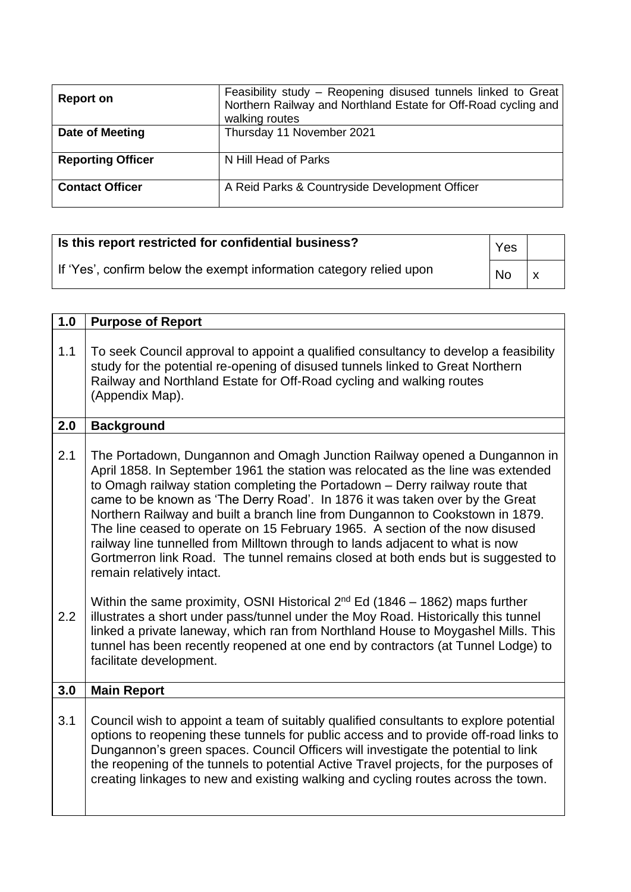| <b>Report on</b>         | Feasibility study - Reopening disused tunnels linked to Great<br>Northern Railway and Northland Estate for Off-Road cycling and<br>walking routes |
|--------------------------|---------------------------------------------------------------------------------------------------------------------------------------------------|
| Date of Meeting          | Thursday 11 November 2021                                                                                                                         |
| <b>Reporting Officer</b> | N Hill Head of Parks                                                                                                                              |
| <b>Contact Officer</b>   | A Reid Parks & Countryside Development Officer                                                                                                    |

| Is this report restricted for confidential business?                | Yes       |    |
|---------------------------------------------------------------------|-----------|----|
| If 'Yes', confirm below the exempt information category relied upon | <b>No</b> | ΙX |

| 1.0 | <b>Purpose of Report</b>                                                                                                                                                                                                                                                                                                                                                                                                                                                                                                                                                                                                                                                                         |
|-----|--------------------------------------------------------------------------------------------------------------------------------------------------------------------------------------------------------------------------------------------------------------------------------------------------------------------------------------------------------------------------------------------------------------------------------------------------------------------------------------------------------------------------------------------------------------------------------------------------------------------------------------------------------------------------------------------------|
| 1.1 | To seek Council approval to appoint a qualified consultancy to develop a feasibility<br>study for the potential re-opening of disused tunnels linked to Great Northern<br>Railway and Northland Estate for Off-Road cycling and walking routes<br>(Appendix Map).                                                                                                                                                                                                                                                                                                                                                                                                                                |
| 2.0 | <b>Background</b>                                                                                                                                                                                                                                                                                                                                                                                                                                                                                                                                                                                                                                                                                |
| 2.1 | The Portadown, Dungannon and Omagh Junction Railway opened a Dungannon in<br>April 1858. In September 1961 the station was relocated as the line was extended<br>to Omagh railway station completing the Portadown - Derry railway route that<br>came to be known as 'The Derry Road'. In 1876 it was taken over by the Great<br>Northern Railway and built a branch line from Dungannon to Cookstown in 1879.<br>The line ceased to operate on 15 February 1965. A section of the now disused<br>railway line tunnelled from Milltown through to lands adjacent to what is now<br>Gortmerron link Road. The tunnel remains closed at both ends but is suggested to<br>remain relatively intact. |
| 2.2 | Within the same proximity, OSNI Historical $2^{nd}$ Ed (1846 – 1862) maps further<br>illustrates a short under pass/tunnel under the Moy Road. Historically this tunnel<br>linked a private laneway, which ran from Northland House to Moygashel Mills. This<br>tunnel has been recently reopened at one end by contractors (at Tunnel Lodge) to<br>facilitate development.                                                                                                                                                                                                                                                                                                                      |
| 3.0 | <b>Main Report</b>                                                                                                                                                                                                                                                                                                                                                                                                                                                                                                                                                                                                                                                                               |
| 3.1 | Council wish to appoint a team of suitably qualified consultants to explore potential<br>options to reopening these tunnels for public access and to provide off-road links to<br>Dungannon's green spaces. Council Officers will investigate the potential to link<br>the reopening of the tunnels to potential Active Travel projects, for the purposes of<br>creating linkages to new and existing walking and cycling routes across the town.                                                                                                                                                                                                                                                |